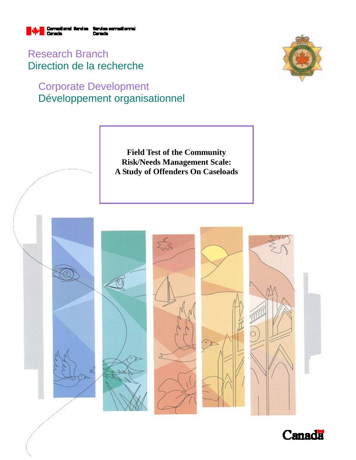

Research Branch Direction de la recherche

# Corporate Development Développement organisationnel



**Field Test of the Community Risk/Needs Management Scale: A Study of Offenders On Caseloads** 



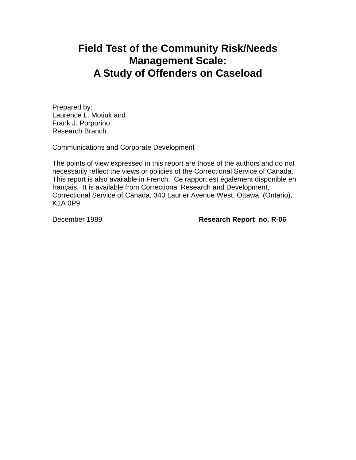# **Field Test of the Community Risk/Needs Management Scale: A Study of Offenders on Caseload**

Prepared by: Laurence L. Motiuk and Frank J. Porporino Research Branch

Communications and Corporate Development

The points of view expressed in this report are those of the authors and do not necessarily reflect the views or policies of the Correctional Service of Canada. This report is also available in French. Ce rapport est également disponible en français. It is available from Correctional Research and Development, Correctional Service of Canada, 340 Laurier Avenue West, Ottawa, (Ontario), K1A 0P9

December 1989 **Research Report no. R-06**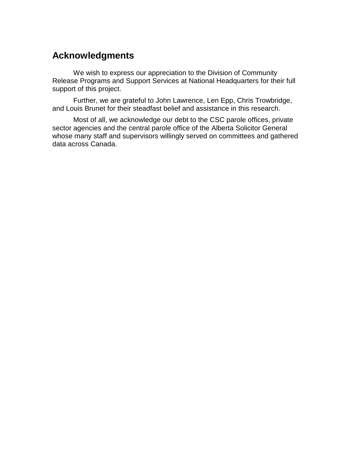# **Acknowledgments**

We wish to express our appreciation to the Division of Community Release Programs and Support Services at National Headquarters for their full support of this project.

Further, we are grateful to John Lawrence, Len Epp, Chris Trowbridge, and Louis Brunet for their steadfast belief and assistance in this research.

Most of all, we acknowledge our debt to the CSC parole offices, private sector agencies and the central parole office of the Alberta Solicitor General whose many staff and supervisors willingly served on committees and gathered data across Canada.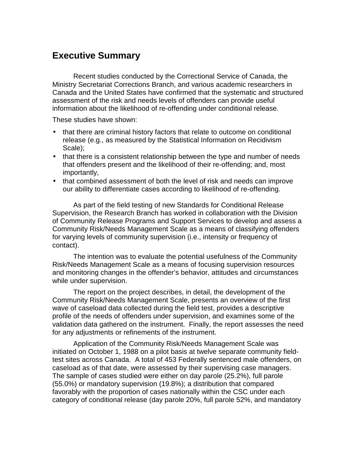## **Executive Summary**

Recent studies conducted by the Correctional Service of Canada, the Ministry Secretariat Corrections Branch, and various academic researchers in Canada and the United States have confirmed that the systematic and structured assessment of the risk and needs levels of offenders can provide useful information about the likelihood of re-offending under conditional release.

These studies have shown:

- that there are criminal history factors that relate to outcome on conditional release (e.g., as measured by the Statistical Information on Recidivism Scale);
- that there is a consistent relationship between the type and number of needs that offenders present and the likelihood of their re-offending; and, most importantly,
- that combined assessment of both the level of risk and needs can improve our ability to differentiate cases according to likelihood of re-offending.

As part of the field testing of new Standards for Conditional Release Supervision, the Research Branch has worked in collaboration with the Division of Community Release Programs and Support Services to develop and assess a Community Risk/Needs Management Scale as a means of classifying offenders for varying levels of community supervision (i.e., intensity or frequency of contact).

The intention was to evaluate the potential usefulness of the Community Risk/Needs Management Scale as a means of focusing supervision resources and monitoring changes in the offender's behavior, attitudes and circumstances while under supervision.

The report on the project describes, in detail, the development of the Community Risk/Needs Management Scale, presents an overview of the first wave of caseload data collected during the field test, provides a descriptive profile of the needs of offenders under supervision, and examines some of the validation data gathered on the instrument. Finally, the report assesses the need for any adjustments or refinements of the instrument.

Application of the Community Risk/Needs Management Scale was initiated on October 1, 1988 on a pilot basis at twelve separate community fieldtest sites across Canada. A total of 453 Federally sentenced male offenders, on caseload as of that date, were assessed by their supervising case managers. The sample of cases studied were either on day parole (25.2%), full parole (55.0%) or mandatory supervision (19.8%); a distribution that compared favorably with the proportion of cases nationally within the CSC under each category of conditional release (day parole 20%, full parole 52%, and mandatory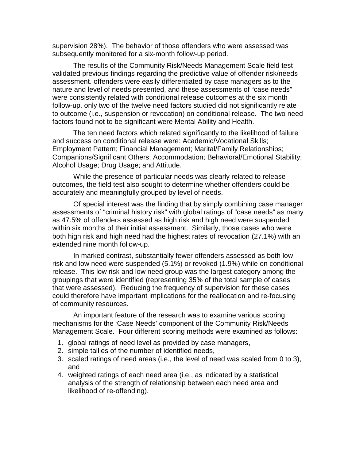supervision 28%). The behavior of those offenders who were assessed was subsequently monitored for a six-month follow-up period.

The results of the Community Risk/Needs Management Scale field test validated previous findings regarding the predictive value of offender risk/needs assessment. offenders were easily differentiated by case managers as to the nature and level of needs presented, and these assessments of "case needs" were consistently related with conditional release outcomes at the six month follow-up. only two of the twelve need factors studied did not significantly relate to outcome (i.e., suspension or revocation) on conditional release. The two need factors found not to be significant were Mental Ability and Health.

The ten need factors which related significantly to the likelihood of failure and success on conditional release were: Academic/Vocational Skills; Employment Pattern; Financial Management; Marital/Family Relationships; Companions/Significant Others; Accommodation; Behavioral/Emotional Stability; Alcohol Usage; Drug Usage; and Attitude.

While the presence of particular needs was clearly related to release outcomes, the field test also sought to determine whether offenders could be accurately and meaningfully grouped by level of needs.

Of special interest was the finding that by simply combining case manager assessments of "criminal history risk" with global ratings of "case needs" as many as 47.5% of offenders assessed as high risk and high need were suspended within six months of their initial assessment. Similarly, those cases who were both high risk and high need had the highest rates of revocation (27.1%) with an extended nine month follow-up.

In marked contrast, substantially fewer offenders assessed as both low risk and low need were suspended (5.1%) or revoked (1.9%) while on conditional release. This low risk and low need group was the largest category among the groupings that were identified (representing 35% of the total sample of cases that were assessed). Reducing the frequency of supervision for these cases could therefore have important implications for the reallocation and re-focusing of community resources.

An important feature of the research was to examine various scoring mechanisms for the 'Case Needs' component of the Community Risk/Needs Management Scale. Four different scoring methods were examined as follows:

- 1. global ratings of need level as provided by case managers,
- 2. simple tallies of the number of identified needs,
- 3. scaled ratings of need areas (i.e., the level of need was scaled from 0 to 3), and
- 4. weighted ratings of each need area (i.e., as indicated by a statistical analysis of the strength of relationship between each need area and likelihood of re-offending).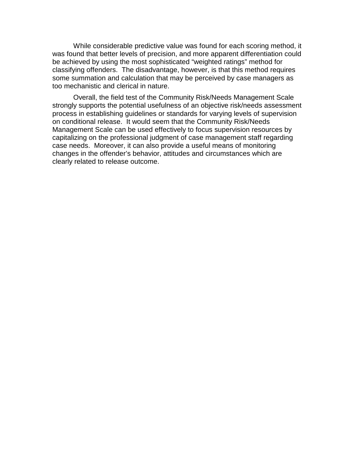While considerable predictive value was found for each scoring method, it was found that better levels of precision, and more apparent differentiation could be achieved by using the most sophisticated "weighted ratings" method for classifying offenders. The disadvantage, however, is that this method requires some summation and calculation that may be perceived by case managers as too mechanistic and clerical in nature.

Overall, the field test of the Community Risk/Needs Management Scale strongly supports the potential usefulness of an objective risk/needs assessment process in establishing guidelines or standards for varying levels of supervision on conditional release. It would seem that the Community Risk/Needs Management Scale can be used effectively to focus supervision resources by capitalizing on the professional judgment of case management staff regarding case needs. Moreover, it can also provide a useful means of monitoring changes in the offender's behavior, attitudes and circumstances which are clearly related to release outcome.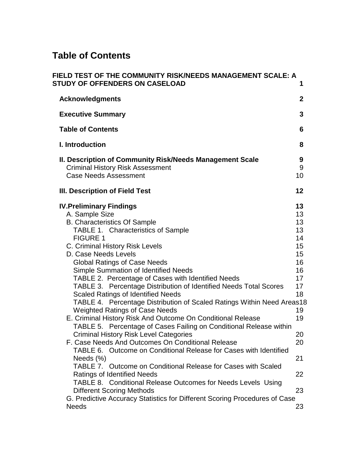# **Table of Contents**

| FIELD TEST OF THE COMMUNITY RISK/NEEDS MANAGEMENT SCALE: A<br><b>STUDY OF OFFENDERS ON CASELOAD</b>                                                                                                                                                                                                                                                                                                                                                                                                                                                                                                                                                                                                                                                                                                                                                                                                                                                                                                                                                                                                                                      | 1                                                                                                              |
|------------------------------------------------------------------------------------------------------------------------------------------------------------------------------------------------------------------------------------------------------------------------------------------------------------------------------------------------------------------------------------------------------------------------------------------------------------------------------------------------------------------------------------------------------------------------------------------------------------------------------------------------------------------------------------------------------------------------------------------------------------------------------------------------------------------------------------------------------------------------------------------------------------------------------------------------------------------------------------------------------------------------------------------------------------------------------------------------------------------------------------------|----------------------------------------------------------------------------------------------------------------|
| <b>Acknowledgments</b>                                                                                                                                                                                                                                                                                                                                                                                                                                                                                                                                                                                                                                                                                                                                                                                                                                                                                                                                                                                                                                                                                                                   | $\mathbf{2}$                                                                                                   |
| <b>Executive Summary</b>                                                                                                                                                                                                                                                                                                                                                                                                                                                                                                                                                                                                                                                                                                                                                                                                                                                                                                                                                                                                                                                                                                                 | 3                                                                                                              |
| <b>Table of Contents</b>                                                                                                                                                                                                                                                                                                                                                                                                                                                                                                                                                                                                                                                                                                                                                                                                                                                                                                                                                                                                                                                                                                                 | 6                                                                                                              |
| <b>I. Introduction</b>                                                                                                                                                                                                                                                                                                                                                                                                                                                                                                                                                                                                                                                                                                                                                                                                                                                                                                                                                                                                                                                                                                                   | 8                                                                                                              |
| II. Description of Community Risk/Needs Management Scale<br><b>Criminal History Risk Assessment</b><br><b>Case Needs Assessment</b>                                                                                                                                                                                                                                                                                                                                                                                                                                                                                                                                                                                                                                                                                                                                                                                                                                                                                                                                                                                                      | 9<br>9<br>10                                                                                                   |
| III. Description of Field Test                                                                                                                                                                                                                                                                                                                                                                                                                                                                                                                                                                                                                                                                                                                                                                                                                                                                                                                                                                                                                                                                                                           | 12                                                                                                             |
| <b>IV. Preliminary Findings</b><br>A. Sample Size<br><b>B. Characteristics Of Sample</b><br>TABLE 1. Characteristics of Sample<br><b>FIGURE 1</b><br>C. Criminal History Risk Levels<br>D. Case Needs Levels<br><b>Global Ratings of Case Needs</b><br><b>Simple Summation of Identified Needs</b><br>TABLE 2. Percentage of Cases with Identified Needs<br>TABLE 3. Percentage Distribution of Identified Needs Total Scores<br><b>Scaled Ratings of Identified Needs</b><br>TABLE 4. Percentage Distribution of Scaled Ratings Within Need Areas18<br><b>Weighted Ratings of Case Needs</b><br>E. Criminal History Risk And Outcome On Conditional Release<br>TABLE 5. Percentage of Cases Failing on Conditional Release within<br><b>Criminal History Risk Level Categories</b><br>F. Case Needs And Outcomes On Conditional Release<br>TABLE 6. Outcome on Conditional Release for Cases with Identified<br>Needs $(\%)$<br>TABLE 7. Outcome on Conditional Release for Cases with Scaled<br><b>Ratings of Identified Needs</b><br>TABLE 8. Conditional Release Outcomes for Needs Levels Using<br><b>Different Scoring Methods</b> | 13<br>13<br>13<br>13<br>14<br>15<br>15<br>16<br>16<br>17<br>17<br>18<br>19<br>19<br>20<br>20<br>21<br>22<br>23 |
| G. Predictive Accuracy Statistics for Different Scoring Procedures of Case<br><b>Needs</b>                                                                                                                                                                                                                                                                                                                                                                                                                                                                                                                                                                                                                                                                                                                                                                                                                                                                                                                                                                                                                                               | 23                                                                                                             |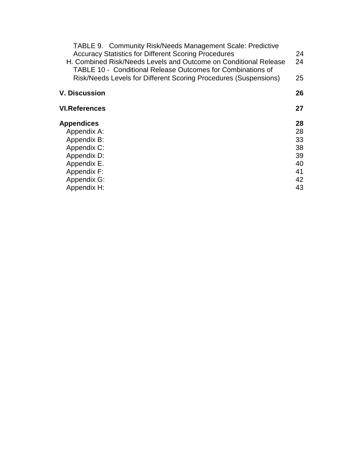| <b>TABLE 9. Community Risk/Needs Management Scale: Predictive</b>                                                               |    |
|---------------------------------------------------------------------------------------------------------------------------------|----|
| <b>Accuracy Statistics for Different Scoring Procedures</b>                                                                     | 24 |
| H. Combined Risk/Needs Levels and Outcome on Conditional Release<br>TABLE 10 - Conditional Release Outcomes for Combinations of | 24 |
| Risk/Needs Levels for Different Scoring Procedures (Suspensions)                                                                | 25 |
| <b>V. Discussion</b>                                                                                                            | 26 |
| <b>VI.References</b>                                                                                                            | 27 |
| <b>Appendices</b>                                                                                                               | 28 |
| Appendix A:                                                                                                                     | 28 |
| Appendix B:                                                                                                                     | 33 |
| Appendix C:                                                                                                                     | 38 |
| Appendix D:                                                                                                                     | 39 |
| Appendix E.                                                                                                                     | 40 |
| Appendix F:                                                                                                                     | 41 |
| Appendix G:                                                                                                                     | 42 |
| Appendix H:                                                                                                                     | 43 |
|                                                                                                                                 |    |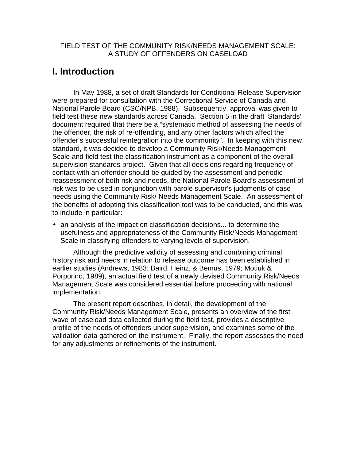#### FIELD TEST OF THE COMMUNITY RISK/NEEDS MANAGEMENT SCALE: A STUDY OF OFFENDERS ON CASELOAD

## **I. Introduction**

In May 1988, a set of draft Standards for Conditional Release Supervision were prepared for consultation with the Correctional Service of Canada and National Parole Board (CSC/NPB, 1988). Subsequently, approval was given to field test these new standards across Canada. Section 5 in the draft 'Standards' document required that there be a "systematic method of assessing the needs of the offender, the risk of re-offending, and any other factors which affect the offender's successful reintegration into the community". In keeping with this new standard, it was decided to develop a Community Risk/Needs Management Scale and field test the classification instrument as a component of the overall supervision standards project. Given that all decisions regarding frequency of contact with an offender should be guided by the assessment and periodic reassessment of both risk and needs, the National Parole Board's assessment of risk was to be used in conjunction with parole supervisor's judgments of case needs using the Community Risk/ Needs Management Scale. An assessment of the benefits of adopting this classification tool was to be conducted, and this was to include in particular:

• an analysis of the impact on classification decisions... to determine the usefulness and appropriateness of the Community Risk/Needs Management Scale in classifying offenders to varying levels of supervision.

Although the predictive validity of assessing and combining criminal history risk and needs in relation to release outcome has been established in earlier studies (Andrews, 1983; Baird, Heinz, & Bemus, 1979; Motiuk & Porporino, 1989), an actual field test of a newly devised Community Risk/Needs Management Scale was considered essential before proceeding with national implementation.

The present report describes, in detail, the development of the Community Risk/Needs Management Scale, presents an overview of the first wave of caseload data collected during the field test, provides a descriptive profile of the needs of offenders under supervision, and examines some of the validation data gathered on the instrument. Finally, the report assesses the need for any adjustments or refinements of the instrument.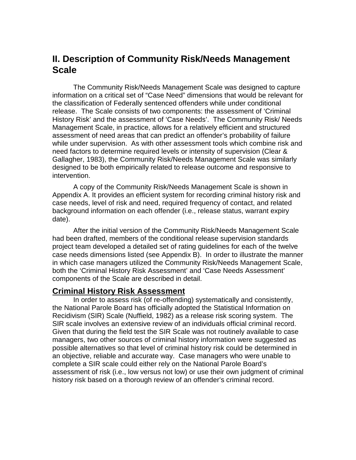## **II. Description of Community Risk/Needs Management Scale**

The Community Risk/Needs Management Scale was designed to capture information on a critical set of "Case Need" dimensions that would be relevant for the classification of Federally sentenced offenders while under conditional release. The Scale consists of two components: the assessment of 'Criminal History Risk' and the assessment of 'Case Needs'. The Community Risk/ Needs Management Scale, in practice, allows for a relatively efficient and structured assessment of need areas that can predict an offender's probability of failure while under supervision. As with other assessment tools which combine risk and need factors to determine required levels or intensity of supervision (Clear & Gallagher, 1983), the Community Risk/Needs Management Scale was similarly designed to be both empirically related to release outcome and responsive to intervention.

A copy of the Community Risk/Needs Management Scale is shown in Appendix A. It provides an efficient system for recording criminal history risk and case needs, level of risk and need, required frequency of contact, and related background information on each offender (i.e., release status, warrant expiry date).

After the initial version of the Community Risk/Needs Management Scale had been drafted, members of the conditional release supervision standards project team developed a detailed set of rating guidelines for each of the twelve case needs dimensions listed (see Appendix B). In order to illustrate the manner in which case managers utilized the Community Risk/Needs Management Scale, both the 'Criminal History Risk Assessment' and 'Case Needs Assessment' components of the Scale are described in detail.

### **Criminal History Risk Assessment**

In order to assess risk (of re-offending) systematically and consistently, the National Parole Board has officially adopted the Statistical Information on Recidivism (SIR) Scale (Nuffield, 1982) as a release risk scoring system. The SIR scale involves an extensive review of an individuals official criminal record. Given that during the field test the SIR Scale was not routinely available to case managers, two other sources of criminal history information were suggested as possible alternatives so that level of criminal history risk could be determined in an objective, reliable and accurate way. Case managers who were unable to complete a SIR scale could either rely on the National Parole Board's assessment of risk (i.e., low versus not low) or use their own judgment of criminal history risk based on a thorough review of an offender's criminal record.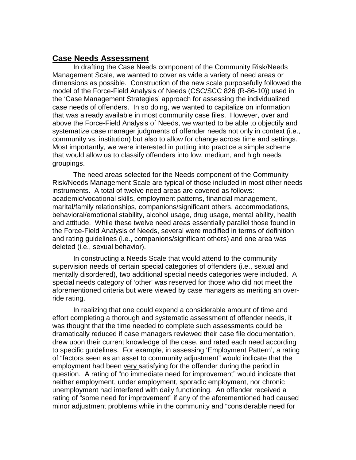### **Case Needs Assessment**

In drafting the Case Needs component of the Community Risk/Needs Management Scale, we wanted to cover as wide a variety of need areas or dimensions as possible. Construction of the new scale purposefully followed the model of the Force-Field Analysis of Needs (CSC/SCC 826 (R-86-10)) used in the 'Case Management Strategies' approach for assessing the individualized case needs of offenders. In so doing, we wanted to capitalize on information that was already available in most community case files. However, over and above the Force-Field Analysis of Needs, we wanted to be able to objectify and systematize case manager judgments of offender needs not only in context (i.e., community vs. institution) but also to allow for change across time and settings. Most importantly, we were interested in putting into practice a simple scheme that would allow us to classify offenders into low, medium, and high needs groupings.

The need areas selected for the Needs component of the Community Risk/Needs Management Scale are typical of those included in most other needs instruments. A total of twelve need areas are covered as follows: academic/vocational skills, employment patterns, financial management, marital/family relationships, companions/significant others, accommodations, behavioral/emotional stability, alcohol usage, drug usage, mental ability, health and attitude. While these twelve need areas essentially parallel those found in the Force-Field Analysis of Needs, several were modified in terms of definition and rating guidelines (i.e., companions/significant others) and one area was deleted (i.e., sexual behavior).

In constructing a Needs Scale that would attend to the community supervision needs of certain special categories of offenders (i.e., sexual and mentally disordered), two additional special needs categories were included. A special needs category of 'other' was reserved for those who did not meet the aforementioned criteria but were viewed by case managers as meriting an override rating.

In realizing that one could expend a considerable amount of time and effort completing a thorough and systematic assessment of offender needs, it was thought that the time needed to complete such assessments could be dramatically reduced if case managers reviewed their case file documentation, drew upon their current knowledge of the case, and rated each need according to specific guidelines. For example, in assessing 'Employment Pattern', a rating of "factors seen as an asset to community adjustment" would indicate that the employment had been very satisfying for the offender during the period in question. A rating of "no immediate need for improvement" would indicate that neither employment, under employment, sporadic employment, nor chronic unemployment had interfered with daily functioning. An offender received a rating of "some need for improvement" if any of the aforementioned had caused minor adjustment problems while in the community and "considerable need for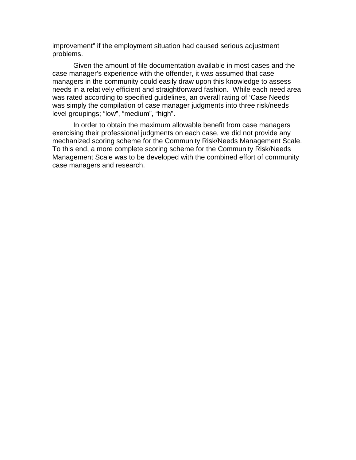improvement" if the employment situation had caused serious adjustment problems.

Given the amount of file documentation available in most cases and the case manager's experience with the offender, it was assumed that case managers in the community could easily draw upon this knowledge to assess needs in a relatively efficient and straightforward fashion. While each need area was rated according to specified guidelines, an overall rating of 'Case Needs' was simply the compilation of case manager judgments into three risk/needs level groupings; "low", "medium", "high".

In order to obtain the maximum allowable benefit from case managers exercising their professional judgments on each case, we did not provide any mechanized scoring scheme for the Community Risk/Needs Management Scale. To this end, a more complete scoring scheme for the Community Risk/Needs Management Scale was to be developed with the combined effort of community case managers and research.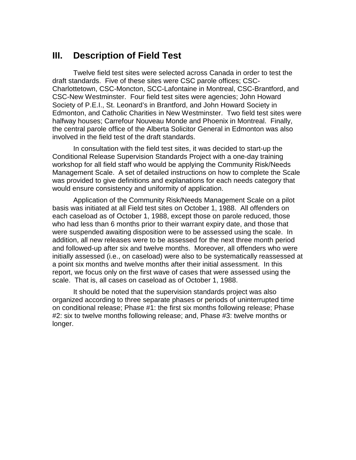## **III. Description of Field Test**

Twelve field test sites were selected across Canada in order to test the draft standards. Five of these sites were CSC parole offices; CSC-Charlottetown, CSC-Moncton, SCC-Lafontaine in Montreal, CSC-Brantford, and CSC-New Westminster. Four field test sites were agencies; John Howard Society of P.E.I., St. Leonard's in Brantford, and John Howard Society in Edmonton, and Catholic Charities in New Westminster. Two field test sites were halfway houses; Carrefour Nouveau Monde and Phoenix in Montreal. Finally, the central parole office of the Alberta Solicitor General in Edmonton was also involved in the field test of the draft standards.

In consultation with the field test sites, it was decided to start-up the Conditional Release Supervision Standards Project with a one-day training workshop for all field staff who would be applying the Community Risk/Needs Management Scale. A set of detailed instructions on how to complete the Scale was provided to give definitions and explanations for each needs category that would ensure consistency and uniformity of application.

Application of the Community Risk/Needs Management Scale on a pilot basis was initiated at all Field test sites on October 1, 1988. All offenders on each caseload as of October 1, 1988, except those on parole reduced, those who had less than 6 months prior to their warrant expiry date, and those that were suspended awaiting disposition were to be assessed using the scale. In addition, all new releases were to be assessed for the next three month period and followed-up after six and twelve months. Moreover, all offenders who were initially assessed (i.e., on caseload) were also to be systematically reassessed at a point six months and twelve months after their initial assessment. In this report, we focus only on the first wave of cases that were assessed using the scale. That is, all cases on caseload as of October 1, 1988.

It should be noted that the supervision standards project was also organized according to three separate phases or periods of uninterrupted time on conditional release; Phase #1: the first six months following release; Phase #2: six to twelve months following release; and, Phase #3: twelve months or longer.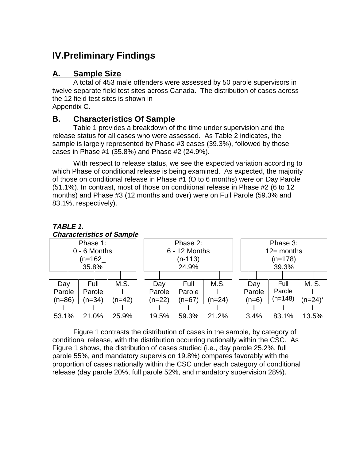# **IV.Preliminary Findings**

### **A. Sample Size**

**TABLE 1.**

A total of 453 male offenders were assessed by 50 parole supervisors in twelve separate field test sites across Canada. The distribution of cases across the 12 field test sites is shown in Appendix C.

### **B. Characteristics Of Sample**

Table 1 provides a breakdown of the time under supervision and the release status for all cases who were assessed. As Table 2 indicates, the sample is largely represented by Phase #3 cases (39.3%), followed by those cases in Phase #1 (35.8%) and Phase #2 (24.9%).

With respect to release status, we see the expected variation according to which Phase of conditional release is being examined. As expected, the majority of those on conditional release in Phase #1 (O to 6 months) were on Day Parole (51.1%). In contrast, most of those on conditional release in Phase #2 (6 to 12 months) and Phase #3 (12 months and over) were on Full Parole (59.3% and 83.1%, respectively).

| <b>Characteristics of Sample</b> |                      |          |         |               |              |
|----------------------------------|----------------------|----------|---------|---------------|--------------|
| Phase 1:                         | Phase 2:             |          |         | Phase 3:      |              |
| 0 - 6 Months                     | 6 - 12 Months        |          |         | $12$ = months |              |
| $(n=162)$                        | $(n-113)$            |          |         | $(n=178)$     |              |
| 35.8%                            | 24.9%                |          |         | 39.3%         |              |
|                                  |                      |          |         |               |              |
| M.S.<br>Full<br>Day              | Full<br>Day          | M.S.     | Day     | Full          | M. S.        |
| Parole<br>Parole                 | Parole<br>Parole     |          | Parole  | Parole        |              |
| $(n=86)$<br>$(n=34)$<br>$(n=42)$ | $(n=22)$<br>$(n=67)$ | $(n=24)$ | $(n=6)$ | $(n=148)$     | $(n=24)^{4}$ |
|                                  |                      |          |         |               |              |
| 21.0%<br>53.1%<br>25.9%          | 19.5%<br>59.3%       | 21.2%    | 3.4%    | 83.1%         | 13.5%        |

Figure 1 contrasts the distribution of cases in the sample, by category of conditional release, with the distribution occurring nationally within the CSC. As Figure 1 shows, the distribution of cases studied (i.e., day parole 25.2%, full parole 55%, and mandatory supervision 19.8%) compares favorably with the proportion of cases nationally within the CSC under each category of conditional release (day parole 20%, full parole 52%, and mandatory supervision 28%).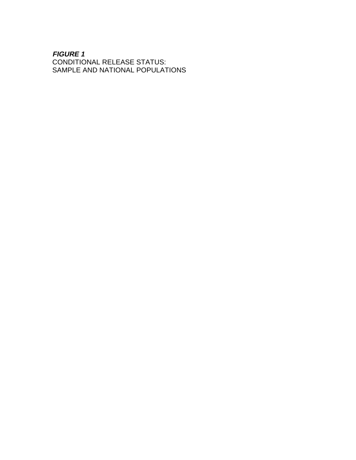### **FIGURE 1**

CONDITIONAL RELEASE STATUS: SAMPLE AND NATIONAL POPULATIONS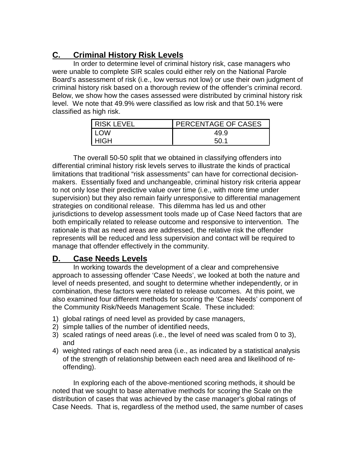# **C. Criminal History Risk Levels**

In order to determine level of criminal history risk, case managers who were unable to complete SIR scales could either rely on the National Parole Board's assessment of risk (i.e., low versus not low) or use their own judgment of criminal history risk based on a thorough review of the offender's criminal record. Below, we show how the cases assessed were distributed by criminal history risk level. We note that 49.9% were classified as low risk and that 50.1% were classified as high risk.

| I RISK LEVEL | PERCENTAGE OF CASES |
|--------------|---------------------|
| I LOW        | 49.9                |
| l HIGH       | 50 1                |

The overall 50-50 split that we obtained in classifying offenders into differential criminal history risk levels serves to illustrate the kinds of practical limitations that traditional "risk assessments" can have for correctional decisionmakers. Essentially fixed and unchangeable, criminal history risk criteria appear to not only lose their predictive value over time (i.e., with more time under supervision) but they also remain fairly unresponsive to differential management strategies on conditional release. This dilemma has led us and other jurisdictions to develop assessment tools made up of Case Need factors that are both empirically related to release outcome and responsive to intervention. The rationale is that as need areas are addressed, the relative risk the offender represents will be reduced and less supervision and contact will be required to manage that offender effectively in the community.

### **D. Case Needs Levels**

In working towards the development of a clear and comprehensive approach to assessing offender 'Case Needs', we looked at both the nature and level of needs presented, and sought to determine whether independently, or in combination, these factors were related to release outcomes. At this point, we also examined four different methods for scoring the 'Case Needs' component of the Community Risk/Needs Management Scale. These included:

- 1) global ratings of need level as provided by case managers,
- 2) simple tallies of the number of identified needs,
- 3) scaled ratings of need areas (i.e., the level of need was scaled from 0 to 3), and
- 4) weighted ratings of each need area (i.e., as indicated by a statistical analysis of the strength of relationship between each need area and likelihood of reoffending).

In exploring each of the above-mentioned scoring methods, it should be noted that we sought to base alternative methods for scoring the Scale on the distribution of cases that was achieved by the case manager's global ratings of Case Needs. That is, regardless of the method used, the same number of cases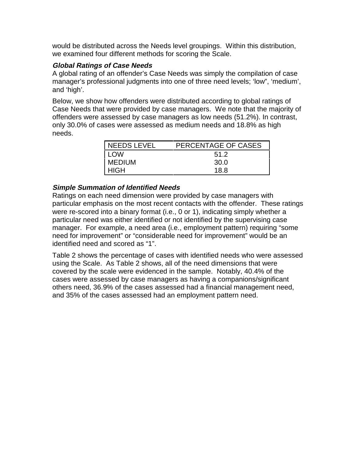would be distributed across the Needs level groupings. Within this distribution, we examined four different methods for scoring the Scale.

### **Global Ratings of Case Needs**

A global rating of an offender's Case Needs was simply the compilation of case manager's professional judgments into one of three need levels; 'low", 'medium', and 'high'.

Below, we show how offenders were distributed according to global ratings of Case Needs that were provided by case managers. We note that the majority of offenders were assessed by case managers as low needs (51.2%). In contrast, only 30.0% of cases were assessed as medium needs and 18.8% as high needs.

| NEEDS LEVEL   | PERCENTAGE OF CASES |
|---------------|---------------------|
| <b>LOW</b>    | 51.2                |
| <b>MEDIUM</b> | 30.0                |
| HIGH          | 18 R                |

### **Simple Summation of Identified Needs**

Ratings on each need dimension were provided by case managers with particular emphasis on the most recent contacts with the offender. These ratings were re-scored into a binary format (i.e., 0 or 1), indicating simply whether a particular need was either identified or not identified by the supervising case manager. For example, a need area (i.e., employment pattern) requiring "some need for improvement" or "considerable need for improvement" would be an identified need and scored as "1".

Table 2 shows the percentage of cases with identified needs who were assessed using the Scale. As Table 2 shows, all of the need dimensions that were covered by the scale were evidenced in the sample. Notably, 40.4% of the cases were assessed by case managers as having a companions/significant others need, 36.9% of the cases assessed had a financial management need, and 35% of the cases assessed had an employment pattern need.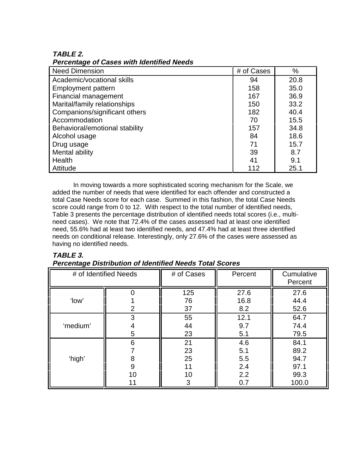### **TABLE 2.**

**Percentage of Cases with Identified Needs**

| <b>Need Dimension</b>          | # of Cases | %    |
|--------------------------------|------------|------|
| Academic/vocational skills     | 94         | 20.8 |
| <b>Employment pattern</b>      | 158        | 35.0 |
| Financial management           | 167        | 36.9 |
| Marital/family relationships   | 150        | 33.2 |
| Companions/significant others  | 182        | 40.4 |
| Accommodation                  | 70         | 15.5 |
| Behavioral/emotional stability | 157        | 34.8 |
| Alcohol usage                  | 84         | 18.6 |
| Drug usage                     | 71         | 15.7 |
| Mental ability                 | 39         | 8.7  |
| Health                         | 41         | 9.1  |
| Attitude                       | 112        | 25.1 |

In moving towards a more sophisticated scoring mechanism for the Scale, we added the number of needs that were identified for each offender and constructed a total Case Needs score for each case. Summed in this fashion, the total Case Needs score could range from 0 to 12. With respect to the total number of identified needs, Table 3 presents the percentage distribution of identified needs total scores (i.e., multineed cases). We note that 72.4% of the cases assessed had at least one identified need, 55.6% had at least two identified needs, and 47.4% had at least three identified needs on conditional release. Interestingly, only 27.6% of the cases were assessed as having no identified needs.

### **TABLE 3.**

### **Percentage Distribution of Identified Needs Total Scores**

|          | # of Identified Needs | # of Cases                      | Percent                                | Cumulative<br>Percent                         |
|----------|-----------------------|---------------------------------|----------------------------------------|-----------------------------------------------|
| 'low'    | $\overline{2}$        | 125<br>76<br>37                 | 27.6<br>16.8<br>8.2                    | 27.6<br>44.4<br>52.6                          |
| 'medium' | 3<br>4<br>5           | 55<br>44<br>23                  | 12.1<br>9.7<br>5.1                     | 64.7<br>74.4<br>79.5                          |
| 'high'   | 6<br>8<br>9<br>10     | 21<br>23<br>25<br>11<br>10<br>3 | 4.6<br>5.1<br>5.5<br>2.4<br>2.2<br>0.7 | 84.1<br>89.2<br>94.7<br>97.1<br>99.3<br>100.0 |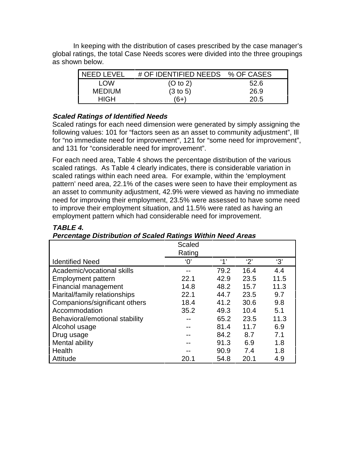In keeping with the distribution of cases prescribed by the case manager's global ratings, the total Case Needs scores were divided into the three groupings as shown below.

| <b>NEED LEVEL</b> | # OF IDENTIFIED NEEDS % OF CASES |      |
|-------------------|----------------------------------|------|
| LOW               | (O to 2)                         | 52.6 |
| <b>MEDIUM</b>     | (3 to 5)                         | 26.9 |
| HIGH              | ั6+                              | 20.5 |

### **Scaled Ratings of Identified Needs**

Scaled ratings for each need dimension were generated by simply assigning the following values: 101 for "factors seen as an asset to community adjustment", Ill for "no immediate need for improvement", 121 for "some need for improvement", and 131 for "considerable need for improvement".

For each need area, Table 4 shows the percentage distribution of the various scaled ratings. As Table 4 clearly indicates, there is considerable variation in scaled ratings within each need area. For example, within the 'employment pattern' need area, 22.1% of the cases were seen to have their employment as an asset to community adjustment, 42.9% were viewed as having no immediate need for improving their employment, 23.5% were assessed to have some need to improve their employment situation, and 11.5% were rated as having an employment pattern which had considerable need for improvement.

|                                | Scaled<br>Rating |      |      |      |
|--------------------------------|------------------|------|------|------|
| <b>Identified Need</b>         | $^{\prime}0'$    | 4'   | '2'  | '3'  |
| Academic/vocational skills     |                  | 79.2 | 16.4 | 4.4  |
| <b>Employment pattern</b>      | 22.1             | 42.9 | 23.5 | 11.5 |
| Financial management           | 14.8             | 48.2 | 15.7 | 11.3 |
| Marital/family relationships   | 22.1             | 44.7 | 23.5 | 9.7  |
| Companions/significant others  | 18.4             | 41.2 | 30.6 | 9.8  |
| Accommodation                  | 35.2             | 49.3 | 10.4 | 5.1  |
| Behavioral/emotional stability |                  | 65.2 | 23.5 | 11.3 |
| Alcohol usage                  |                  | 81.4 | 11.7 | 6.9  |
| Drug usage                     |                  | 84.2 | 8.7  | 7.1  |
| Mental ability                 |                  | 91.3 | 6.9  | 1.8  |
| Health                         |                  | 90.9 | 7.4  | 1.8  |
| Attitude                       | 20.1             | 54.8 | 20.1 | 4.9  |

### **TABLE 4.**

### **Percentage Distribution of Scaled Ratings Within Need Areas**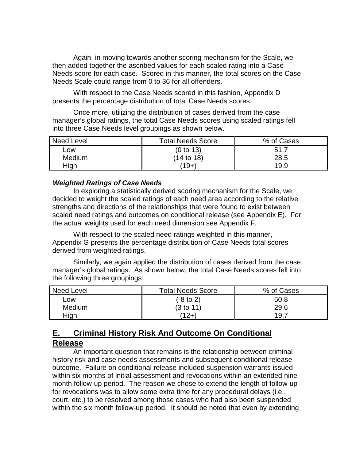Again, in moving towards another scoring mechanism for the Scale, we then added together the ascribed values for each scaled rating into a Case Needs score for each case. Scored in this manner, the total scores on the Case Needs Scale could range from 0 to 36 for all offenders.

With respect to the Case Needs scored in this fashion, Appendix D presents the percentage distribution of total Case Needs scores.

Once more, utilizing the distribution of cases derived from the case manager's global ratings, the total Case Needs scores using scaled ratings fell into three Case Needs level groupings as shown below.

| <b>Need Level</b> | <b>Total Needs Score</b> | % of Cases |
|-------------------|--------------------------|------------|
| Low               | (0 to 13)                | 51.7       |
| Medium            | (14 to 18)               | 28.5       |
| High              | (19+)                    | 19.9       |

### **Weighted Ratings of Case Needs**

In exploring a statistically derived scoring mechanism for the Scale, we decided to weight the scaled ratings of each need area according to the relative strengths and directions of the relationships that were found to exist between scaled need ratings and outcomes on conditional release (see Appendix E). For the actual weights used for each need dimension see Appendix F.

With respect to the scaled need ratings weighted in this manner, Appendix G presents the percentage distribution of Case Needs total scores derived from weighted ratings.

Similarly, we again applied the distribution of cases derived from the case manager's global ratings. As shown below, the total Case Needs scores fell into the following three groupings:

| <b>Need Level</b> | <b>Total Needs Score</b> | % of Cases |
|-------------------|--------------------------|------------|
| Low               | $(-8 \text{ to } 2)$     | 50.8       |
| Medium            | (3 to 11)                | 29.6       |
| High              | ั12+`                    | 19.7       |

### **E. Criminal History Risk And Outcome On Conditional Release**

An important question that remains is the relationship between criminal history risk and case needs assessments and subsequent conditional release outcome. Failure on conditional release included suspension warrants issued within six months of initial assessment and revocations within an extended nine month follow-up period. The reason we chose to extend the length of follow-up for revocations was to allow some extra time for any procedural delays (i.e., court, etc.) to be resolved among those cases who had also been suspended within the six month follow-up period. It should be noted that even by extending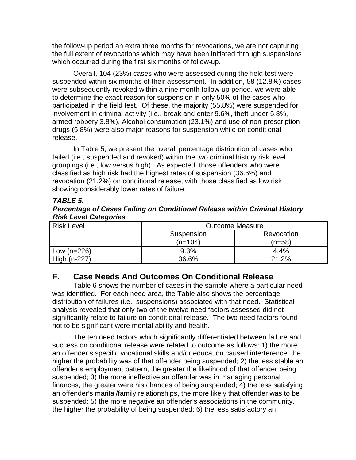the follow-up period an extra three months for revocations, we are not capturing the full extent of revocations which may have been initiated through suspensions which occurred during the first six months of follow-up.

Overall, 104 (23%) cases who were assessed during the field test were suspended within six months of their assessment. In addition, 58 (12.8%) cases were subsequently revoked within a nine month follow-up period. we were able to determine the exact reason for suspension in only 50% of the cases who participated in the field test. Of these, the majority (55.8%) were suspended for involvement in criminal activity (i.e., break and enter 9.6%, theft under 5.8%, armed robbery 3.8%). Alcohol consumption (23.1%) and use of non-prescription drugs (5.8%) were also major reasons for suspension while on conditional release.

In Table 5, we present the overall percentage distribution of cases who failed (i.e., suspended and revoked) within the two criminal history risk level groupings (i.e., low versus high). As expected, those offenders who were classified as high risk had the highest rates of suspension (36.6%) and revocation (21.2%) on conditional release, with those classified as low risk showing considerably lower rates of failure.

### **TABLE 5.**

### **Percentage of Cases Failing on Conditional Release within Criminal History Risk Level Categories**

| <b>Risk Level</b> | <b>Outcome Measure</b> |            |  |
|-------------------|------------------------|------------|--|
|                   | Suspension             | Revocation |  |
|                   | $(n=104)$              | (n=58)     |  |
| Low $(n=226)$     | 9.3%                   | 4.4%       |  |
| High (n-227)      | 36.6%                  | 21.2%      |  |

### **F. Case Needs And Outcomes On Conditional Release**

Table 6 shows the number of cases in the sample where a particular need was identified. For each need area, the Table also shows the percentage distribution of failures (i.e., suspensions) associated with that need. Statistical analysis revealed that only two of the twelve need factors assessed did not significantly relate to failure on conditional release. The two need factors found not to be significant were mental ability and health.

The ten need factors which significantly differentiated between failure and success on conditional release were related to outcome as follows: 1) the more an offender's specific vocational skills and/or education caused interference, the higher the probability was of that offender being suspended; 2) the less stable an offender's employment pattern, the greater the likelihood of that offender being suspended; 3) the more ineffective an offender was in managing personal finances, the greater were his chances of being suspended; 4) the less satisfying an offender's marital/family relationships, the more likely that offender was to be suspended; 5) the more negative an offender's associations in the community, the higher the probability of being suspended; 6) the less satisfactory an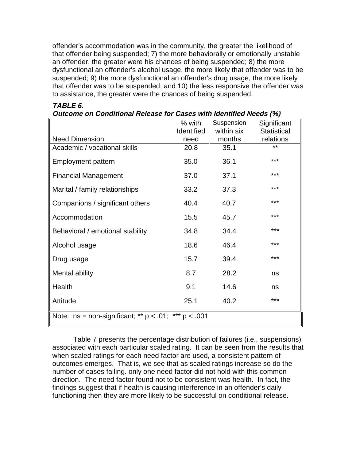offender's accommodation was in the community, the greater the likelihood of that offender being suspended; 7) the more behaviorally or emotionally unstable an offender, the greater were his chances of being suspended; 8) the more dysfunctional an offender's alcohol usage, the more likely that offender was to be suspended; 9) the more dysfunctional an offender's drug usage, the more likely that offender was to be suspended; and 10) the less responsive the offender was to assistance, the greater were the chances of being suspended.

| Outcome on Conditional Release for Cases with Identified Needs (%) |                   |            |                    |  |  |
|--------------------------------------------------------------------|-------------------|------------|--------------------|--|--|
|                                                                    | % with            | Suspension | Significant        |  |  |
|                                                                    | <b>Identified</b> | within six | <b>Statistical</b> |  |  |
| <b>Need Dimension</b>                                              | need              | months     | relations          |  |  |
| Academic / vocational skills                                       | 20.8              | 35.1       | **                 |  |  |
| <b>Employment pattern</b>                                          | 35.0              | 36.1       | ***                |  |  |
| <b>Financial Management</b>                                        | 37.0              | 37.1       | ***                |  |  |
| Marital / family relationships                                     | 33.2              | 37.3       | $***$              |  |  |
| Companions / significant others                                    | 40.4              | 40.7       | ***                |  |  |
| Accommodation                                                      | 15.5              | 45.7       | ***                |  |  |
| Behavioral / emotional stability                                   | 34.8              | 34.4       | ***                |  |  |
| Alcohol usage                                                      | 18.6              | 46.4       | ***                |  |  |
| Drug usage                                                         | 15.7              | 39.4       | ***                |  |  |
| Mental ability                                                     | 8.7               | 28.2       | ns                 |  |  |
| Health                                                             | 9.1               | 14.6       | ns                 |  |  |
| Attitude                                                           | 25.1              | 40.2       | ***                |  |  |
| Note: $ns = non-significant; ** p < .01; ** p < .001$              |                   |            |                    |  |  |

### **TABLE 6.**

Table 7 presents the percentage distribution of failures (i.e., suspensions) associated with each particular scaled rating. It can be seen from the results that when scaled ratings for each need factor are used, a consistent pattern of outcomes emerges. That is, we see that as scaled ratings increase so do the number of cases failing. only one need factor did not hold with this common direction. The need factor found not to be consistent was health. In fact, the findings suggest that if health is causing interference in an offender's daily functioning then they are more likely to be successful on conditional release.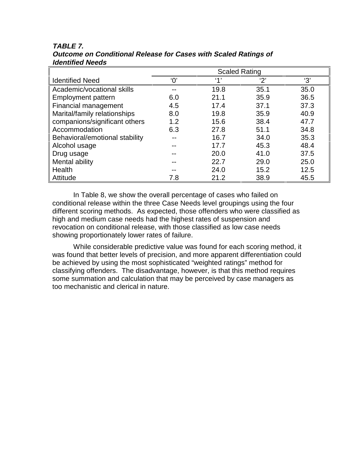|                                | <b>Scaled Rating</b> |      |      |      |
|--------------------------------|----------------------|------|------|------|
| <b>Identified Need</b>         | $^{\prime}O'$        | (4)  | '2'  | '3'  |
| Academic/vocational skills     |                      | 19.8 | 35.1 | 35.0 |
| Employment pattern             | 6.0                  | 21.1 | 35.9 | 36.5 |
| Financial management           | 4.5                  | 17.4 | 37.1 | 37.3 |
| Marital/family relationships   | 8.0                  | 19.8 | 35.9 | 40.9 |
| companions/significant others  | 1.2                  | 15.6 | 38.4 | 47.7 |
| Accommodation                  | 6.3                  | 27.8 | 51.1 | 34.8 |
| Behavioral/emotional stability |                      | 16.7 | 34.0 | 35.3 |
| Alcohol usage                  |                      | 17.7 | 45.3 | 48.4 |
| Drug usage                     |                      | 20.0 | 41.0 | 37.5 |
| Mental ability                 |                      | 22.7 | 29.0 | 25.0 |
| Health                         |                      | 24.0 | 15.2 | 12.5 |
| Attitude                       | 7.8                  | 21.2 | 38.9 | 45.5 |

#### **TABLE 7. Outcome on Conditional Release for Cases with Scaled Ratings of Identified Needs**

In Table 8, we show the overall percentage of cases who failed on conditional release within the three Case Needs level groupings using the four different scoring methods. As expected, those offenders who were classified as high and medium case needs had the highest rates of suspension and revocation on conditional release, with those classified as low case needs showing proportionately lower rates of failure.

While considerable predictive value was found for each scoring method, it was found that better levels of precision, and more apparent differentiation could be achieved by using the most sophisticated "weighted ratings" method for classifying offenders. The disadvantage, however, is that this method requires some summation and calculation that may be perceived by case managers as too mechanistic and clerical in nature.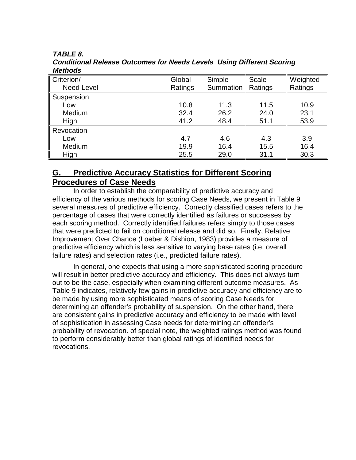### **TABLE 8.**

| MEUDUS            |         |           |         |          |
|-------------------|---------|-----------|---------|----------|
| Criterion/        | Global  | Simple    | Scale   | Weighted |
| <b>Need Level</b> | Ratings | Summation | Ratings | Ratings  |
| Suspension        |         |           |         |          |
| Low               | 10.8    | 11.3      | 11.5    | 10.9     |
| Medium            | 32.4    | 26.2      | 24.0    | 23.1     |
| High              | 41.2    | 48.4      | 51.1    | 53.9     |
| Revocation        |         |           |         |          |
| Low               | 4.7     | 4.6       | 4.3     | 3.9      |
| Medium            | 19.9    | 16.4      | 15.5    | 16.4     |
| High              | 25.5    | 29.0      | 31.1    | 30.3     |

**Conditional Release Outcomes for Needs Levels Using Different Scoring Methods**

### **G. Predictive Accuracy Statistics for Different Scoring Procedures of Case Needs**

In order to establish the comparability of predictive accuracy and efficiency of the various methods for scoring Case Needs, we present in Table 9 several measures of predictive efficiency. Correctly classified cases refers to the percentage of cases that were correctly identified as failures or successes by each scoring method. Correctly identified failures refers simply to those cases that were predicted to fail on conditional release and did so. Finally, Relative Improvement Over Chance (Loeber & Dishion, 1983) provides a measure of predictive efficiency which is less sensitive to varying base rates (i.e, overall failure rates) and selection rates (i.e., predicted failure rates).

In general, one expects that using a more sophisticated scoring procedure will result in better predictive accuracy and efficiency. This does not always turn out to be the case, especially when examining different outcome measures. As Table 9 indicates, relatively few gains in predictive accuracy and efficiency are to be made by using more sophisticated means of scoring Case Needs for determining an offender's probability of suspension. On the other hand, there are consistent gains in predictive accuracy and efficiency to be made with level of sophistication in assessing Case needs for determining an offender's probability of revocation. of special note, the weighted ratings method was found to perform considerably better than global ratings of identified needs for revocations.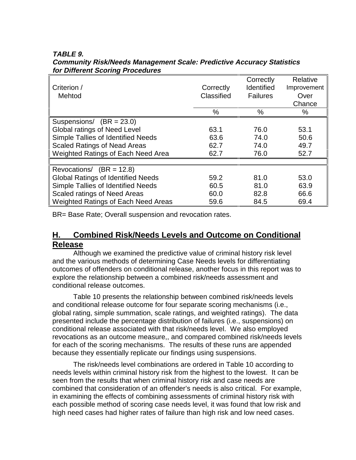|                                            |            | Correctly         | Relative    |
|--------------------------------------------|------------|-------------------|-------------|
| Criterion /                                | Correctly  | <b>Identified</b> | Improvement |
| Mehtod                                     | Classified | <b>Failures</b>   | Over        |
|                                            |            |                   | Chance      |
|                                            | %          | $\%$              | $\%$        |
| Suspensions/ $(BR = 23.0)$                 |            |                   |             |
| <b>Global ratings of Need Level</b>        | 63.1       | 76.0              | 53.1        |
| Simple Tallies of Identified Needs         | 63.6       | 74.0              | 50.6        |
| <b>Scaled Ratings of Nead Areas</b>        | 62.7       | 74.0              | 49.7        |
| Weighted Ratings of Each Need Area         | 62.7       | 76.0              | 52.7        |
|                                            |            |                   |             |
| Revocations/ $(BR = 12.8)$                 |            |                   |             |
| <b>Global Ratings of Identified Needs</b>  | 59.2       | 81.0              | 53.0        |
| Simple Tallies of Identified Needs         | 60.5       | 81.0              | 63.9        |
| Scaled ratings of Need Areas               | 60.0       | 82.8              | 66.6        |
| <b>Weighted Ratings of Each Need Areas</b> | 59.6       | 84.5              | 69.4        |

**TABLE 9. Community Risk/Needs Management Scale: Predictive Accuracy Statistics for Different Scoring Procedures**

BR= Base Rate; Overall suspension and revocation rates.

### **H. Combined Risk/Needs Levels and Outcome on Conditional Release**

Although we examined the predictive value of criminal history risk level and the various methods of determining Case Needs levels for differentiating outcomes of offenders on conditional release, another focus in this report was to explore the relationship between a combined risk/needs assessment and conditional release outcomes.

Table 10 presents the relationship between combined risk/needs levels and conditional release outcome for four separate scoring mechanisms (i.e., global rating, simple summation, scale ratings, and weighted ratings). The data presented include the percentage distribution of failures (i.e., suspensions) on conditional release associated with that risk/needs level. We also employed revocations as an outcome measure,, and compared combined risk/needs levels for each of the scoring mechanisms. The results of these runs are appended because they essentially replicate our findings using suspensions.

The risk/needs level combinations are ordered in Table 10 according to needs levels within criminal history risk from the highest to the lowest. It can be seen from the results that when criminal history risk and case needs are combined that consideration of an offender's needs is also critical. For example, in examining the effects of combining assessments of criminal history risk with each possible method of scoring case needs level, it was found that low risk and high need cases had higher rates of failure than high risk and low need cases.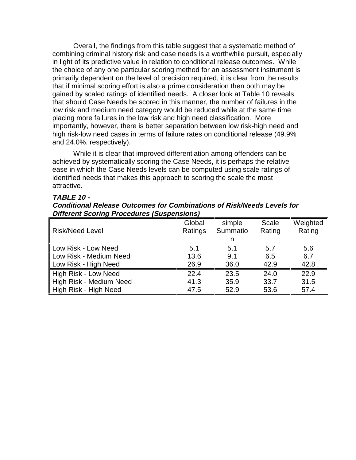Overall, the findings from this table suggest that a systematic method of combining criminal history risk and case needs is a worthwhile pursuit, especially in light of its predictive value in relation to conditional release outcomes. While the choice of any one particular scoring method for an assessment instrument is primarily dependent on the level of precision required, it is clear from the results that if minimal scoring effort is also a prime consideration then both may be gained by scaled ratings of identified needs. A closer look at Table 10 reveals that should Case Needs be scored in this manner, the number of failures in the low risk and medium need category would be reduced while at the same time placing more failures in the low risk and high need classification. More importantly, however, there is better separation between low risk-high need and high risk-low need cases in terms of failure rates on conditional release (49.9% and 24.0%, respectively).

While it is clear that improved differentiation among offenders can be achieved by systematically scoring the Case Needs, it is perhaps the relative ease in which the Case Needs levels can be computed using scale ratings of identified needs that makes this approach to scoring the scale the most attractive.

#### **TABLE 10 -**

**Conditional Release Outcomes for Combinations of Risk/Needs Levels for Different Scoring Procedures (Suspensions)**

| <b>Risk/Need Level</b>  | Global<br>Ratings | simple<br>Summatio | Scale<br>Rating | Weighted<br>Rating |
|-------------------------|-------------------|--------------------|-----------------|--------------------|
|                         |                   | n                  |                 |                    |
| Low Risk - Low Need     | 5.1               | 5.1                | 5.7             | 5.6                |
| Low Risk - Medium Need  | 13.6              | 9.1                | 6.5             | 6.7                |
| Low Risk - High Need    | 26.9              | 36.0               | 42.9            | 42.8               |
| High Risk - Low Need    | 22.4              | 23.5               | 24.0            | 22.9               |
| High Risk - Medium Need | 41.3              | 35.9               | 33.7            | 31.5               |
| High Risk - High Need   | 47.5              | 52.9               | 53.6            | 57.4               |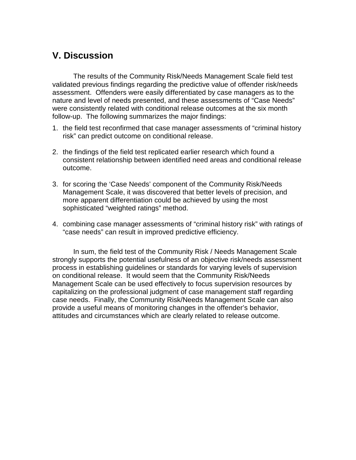# **V. Discussion**

The results of the Community Risk/Needs Management Scale field test validated previous findings regarding the predictive value of offender risk/needs assessment. Offenders were easily differentiated by case managers as to the nature and level of needs presented, and these assessments of "Case Needs" were consistently related with conditional release outcomes at the six month follow-up. The following summarizes the major findings:

- 1. the field test reconfirmed that case manager assessments of "criminal history risk" can predict outcome on conditional release.
- 2. the findings of the field test replicated earlier research which found a consistent relationship between identified need areas and conditional release outcome.
- 3. for scoring the 'Case Needs' component of the Community Risk/Needs Management Scale, it was discovered that better levels of precision, and more apparent differentiation could be achieved by using the most sophisticated "weighted ratings" method.
- 4. combining case manager assessments of "criminal history risk" with ratings of "case needs" can result in improved predictive efficiency.

In sum, the field test of the Community Risk / Needs Management Scale strongly supports the potential usefulness of an objective risk/needs assessment process in establishing guidelines or standards for varying levels of supervision on conditional release. It would seem that the Community Risk/Needs Management Scale can be used effectively to focus supervision resources by capitalizing on the professional judgment of case management staff regarding case needs. Finally, the Community Risk/Needs Management Scale can also provide a useful means of monitoring changes in the offender's behavior, attitudes and circumstances which are clearly related to release outcome.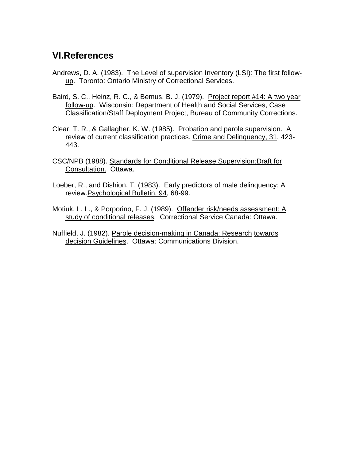# **VI.References**

- Andrews, D. A. (1983). The Level of supervision Inventory (LSI): The first followup. Toronto: Ontario Ministry of Correctional Services.
- Baird, S. C., Heinz, R. C., & Bemus, B. J. (1979). Project report #14: A two year follow-up. Wisconsin: Department of Health and Social Services, Case Classification/Staff Deployment Project, Bureau of Community Corrections.
- Clear, T. R., & Gallagher, K. W. (1985). Probation and parole supervision. A review of current classification practices. Crime and Delinquency, 31, 423- 443.
- CSC/NPB (1988). Standards for Conditional Release Supervision:Draft for Consultation. Ottawa.
- Loeber, R., and Dishion, T. (1983). Early predictors of male delinquency: A review.Psychological Bulletin, 94, 68-99.
- Motiuk, L. L., & Porporino, F. J. (1989). Offender risk/needs assessment: A study of conditional releases. Correctional Service Canada: Ottawa.
- Nuffield, J. (1982). Parole decision-making in Canada: Research towards decision Guidelines. Ottawa: Communications Division.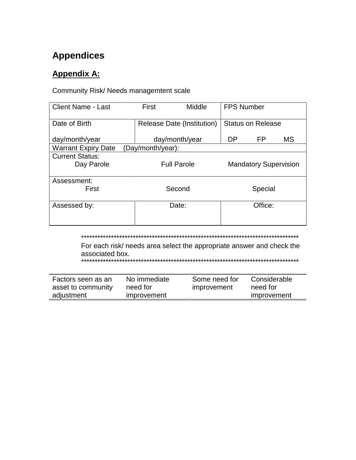# **Appendices**

# **Appendix A:**

### Community Risk/ Needs managemtent scale

| <b>Client Name - Last</b>            | First             | Middle                                             | <b>FPS Number</b> |                          |    |
|--------------------------------------|-------------------|----------------------------------------------------|-------------------|--------------------------|----|
| Date of Birth                        |                   | Release Date (Institution)                         |                   | <b>Status on Release</b> |    |
| day/month/year                       |                   | day/month/year                                     | DP                | FP                       | МS |
| <b>Warrant Expiry Date</b>           | (Day/month/year): |                                                    |                   |                          |    |
| <b>Current Status:</b><br>Day Parole |                   | <b>Full Parole</b><br><b>Mandatory Supervision</b> |                   |                          |    |
| Assessment:<br>First                 | Second            |                                                    | Special           |                          |    |
| Assessed by:                         | Date:             |                                                    | Office:           |                          |    |

\*\*\*\*\*\*\*\*\*\*\*\*\*\*\*\*\*\*\*\*\*\*\*\*\*\*\*\*\*\*\*\*\*\*\*\*\*\*\*\*\*\*\*\*\*\*\*\*\*\*\*\*\*\*\*\*\*\*\*\*\*\*\*\*\*\*\*\*\*\*\*\*\*\*\*\*\*\*\*\*

For each risk/ needs area select the appropriate answer and check the associated box. \*\*\*\*\*\*\*\*\*\*\*\*\*\*\*\*\*\*\*\*\*\*\*\*\*\*\*\*\*\*\*\*\*\*\*\*\*\*\*\*\*\*\*\*\*\*\*\*\*\*\*\*\*\*\*\*\*\*\*\*\*\*\*\*\*\*\*\*\*\*\*\*\*\*\*\*\*\*\*\*

| Factors seen as an | No immediate | Some need for | Considerable |  |
|--------------------|--------------|---------------|--------------|--|
| asset to community | need for     | improvement   | need for     |  |
| adjustment         | improvement  |               | improvement  |  |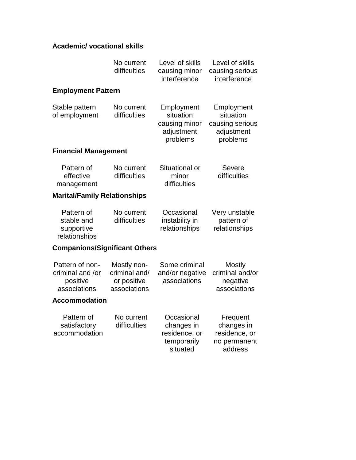### **Academic/ vocational skills**

|                                                                 | No current<br>difficulties                                  | Level of skills<br>causing minor<br>interference                     | Level of skills<br>causing serious<br>interference                   |
|-----------------------------------------------------------------|-------------------------------------------------------------|----------------------------------------------------------------------|----------------------------------------------------------------------|
| <b>Employment Pattern</b>                                       |                                                             |                                                                      |                                                                      |
| Stable pattern<br>of employment                                 | No current<br>difficulties                                  | Employment<br>situation<br>causing minor<br>adjustment<br>problems   | Employment<br>situation<br>causing serious<br>adjustment<br>problems |
| <b>Financial Management</b>                                     |                                                             |                                                                      |                                                                      |
| Pattern of<br>effective<br>management                           | No current<br>difficulties                                  | Situational or<br>minor<br>difficulties                              | Severe<br>difficulties                                               |
| <b>Marital/Family Relationships</b>                             |                                                             |                                                                      |                                                                      |
| Pattern of<br>stable and<br>supportive<br>relationships         | No current<br>difficulties                                  | Occasional<br>instability in<br>relationships                        | Very unstable<br>pattern of<br>relationships                         |
| <b>Companions/Significant Others</b>                            |                                                             |                                                                      |                                                                      |
| Pattern of non-<br>criminal and /or<br>positive<br>associations | Mostly non-<br>criminal and/<br>or positive<br>associations | Some criminal<br>and/or negative<br>associations                     | Mostly<br>criminal and/or<br>negative<br>associations                |
| <b>Accommodation</b>                                            |                                                             |                                                                      |                                                                      |
| Pattern of<br>satisfactory<br>accommodation                     | No current<br>difficulties                                  | Occasional<br>changes in<br>residence, or<br>temporarily<br>situated | Frequent<br>changes in<br>residence, or<br>no permanent<br>address   |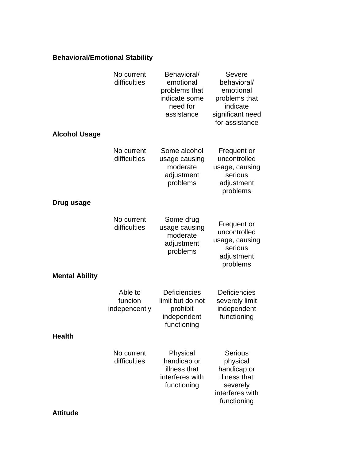### **Behavioral/Emotional Stability**

|                       | No current<br>difficulties          | Behavioral/<br>emotional<br>problems that<br>indicate some<br>need for<br>assistance | Severe<br>behavioral/<br>emotional<br>problems that<br>indicate<br>significant need<br>for assistance   |
|-----------------------|-------------------------------------|--------------------------------------------------------------------------------------|---------------------------------------------------------------------------------------------------------|
| <b>Alcohol Usage</b>  |                                     |                                                                                      |                                                                                                         |
|                       | No current<br>difficulties          | Some alcohol<br>usage causing<br>moderate<br>adjustment<br>problems                  | Frequent or<br>uncontrolled<br>usage, causing<br>serious<br>adjustment<br>problems                      |
| Drug usage            |                                     |                                                                                      |                                                                                                         |
|                       | No current<br>difficulties          | Some drug<br>usage causing<br>moderate<br>adjustment<br>problems                     | Frequent or<br>uncontrolled<br>usage, causing<br>serious<br>adjustment<br>problems                      |
| <b>Mental Ability</b> |                                     |                                                                                      |                                                                                                         |
|                       | Able to<br>funcion<br>indepencently | Deficiencies<br>limit but do not<br>prohibit<br>independent<br>functioning           | Deficiencies<br>severely limit<br>independent<br>functioning                                            |
| <b>Health</b>         |                                     |                                                                                      |                                                                                                         |
|                       | No current<br>difficulties          | Physical<br>handicap or<br>illness that<br>interferes with<br>functioning            | <b>Serious</b><br>physical<br>handicap or<br>illness that<br>severely<br>interferes with<br>functioning |
| <b>Attitude</b>       |                                     |                                                                                      |                                                                                                         |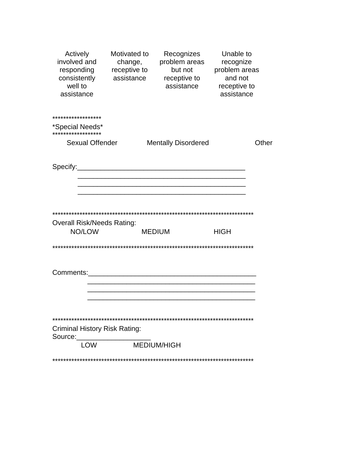| Actively<br>involved and<br>responding<br>consistently<br>well to<br>assistance | Motivated to<br>change,<br>receptive to<br>assistance | Recognizes<br>problem areas<br>but not<br>receptive to<br>assistance | Unable to<br>recognize<br>problem areas<br>and not<br>receptive to<br>assistance |       |
|---------------------------------------------------------------------------------|-------------------------------------------------------|----------------------------------------------------------------------|----------------------------------------------------------------------------------|-------|
| ******************                                                              |                                                       |                                                                      |                                                                                  |       |
| *Special Needs*<br>******************                                           |                                                       |                                                                      |                                                                                  |       |
| <b>Sexual Offender</b>                                                          |                                                       | <b>Mentally Disordered</b>                                           |                                                                                  | Other |
|                                                                                 |                                                       |                                                                      |                                                                                  |       |
| <b>Overall Risk/Needs Rating:</b><br>NO/LOW                                     |                                                       | <b>MEDIUM</b>                                                        | <b>HIGH</b>                                                                      |       |
|                                                                                 |                                                       |                                                                      |                                                                                  |       |
| Comments:                                                                       |                                                       |                                                                      |                                                                                  |       |
|                                                                                 |                                                       |                                                                      |                                                                                  |       |
| <b>Criminal History Risk Rating:</b><br>Source:                                 |                                                       |                                                                      |                                                                                  |       |
| <b>LOW</b>                                                                      | MEDIUM/HIGH                                           |                                                                      |                                                                                  |       |
|                                                                                 |                                                       |                                                                      |                                                                                  |       |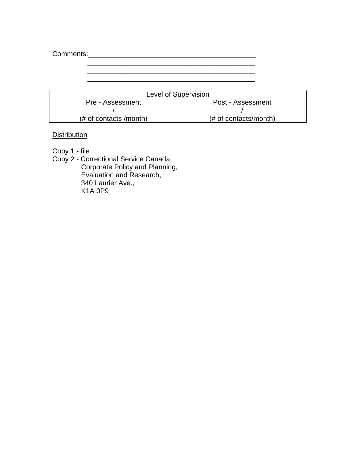| Comments: |                        |                       |
|-----------|------------------------|-----------------------|
|           |                        |                       |
|           |                        |                       |
|           |                        |                       |
|           | Level of Supervision   |                       |
|           | Pre - Assessment       | Post - Assessment     |
|           |                        |                       |
|           | (# of contacts /month) | (# of contacts/month) |

**Distribution** 

Copy 1 - file

Copy 2 - Correctional Service Canada, Corporate Policy and Planning, Evaluation and Research, 340 Laurier Ave., K1A 0P9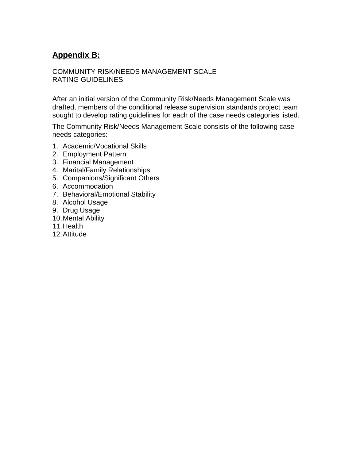## **Appendix B:**

### COMMUNITY RISK/NEEDS MANAGEMENT SCALE RATING GUIDELINES

After an initial version of the Community Risk/Needs Management Scale was drafted, members of the conditional release supervision standards project team sought to develop rating guidelines for each of the case needs categories listed.

The Community Risk/Needs Management Scale consists of the following case needs categories:

- 1. Academic/Vocational Skills
- 2. Employment Pattern
- 3. Financial Management
- 4. Marital/Family Relationships
- 5. Companions/Significant Others
- 6. Accommodation
- 7. Behavioral/Emotional Stability
- 8. Alcohol Usage
- 9. Drug Usage
- 10. Mental Ability
- 11. Health
- 12. Attitude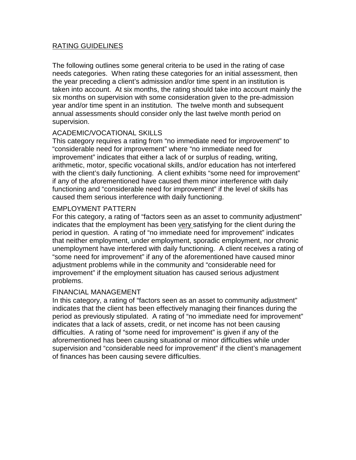### RATING GUIDELINES

The following outlines some general criteria to be used in the rating of case needs categories. When rating these categories for an initial assessment, then the year preceding a client's admission and/or time spent in an institution is taken into account. At six months, the rating should take into account mainly the six months on supervision with some consideration given to the pre-admission year and/or time spent in an institution. The twelve month and subsequent annual assessments should consider only the last twelve month period on supervision.

### ACADEMIC/VOCATIONAL SKILLS

This category requires a rating from "no immediate need for improvement" to "considerable need for improvement" where "no immediate need for improvement" indicates that either a lack of or surplus of reading, writing, arithmetic, motor, specific vocational skills, and/or education has not interfered with the client's daily functioning. A client exhibits "some need for improvement" if any of the aforementioned have caused them minor interference with daily functioning and "considerable need for improvement" if the level of skills has caused them serious interference with daily functioning.

### EMPLOYMENT PATTERN

For this category, a rating of "factors seen as an asset to community adjustment" indicates that the employment has been very satisfying for the client during the period in question. A rating of "no immediate need for improvement" indicates that neither employment, under employment, sporadic employment, nor chronic unemployment have interfered with daily functioning. A client receives a rating of "some need for improvement" if any of the aforementioned have caused minor adjustment problems while in the community and "considerable need for improvement" if the employment situation has caused serious adjustment problems.

### FINANCIAL MANAGEMENT

In this category, a rating of "factors seen as an asset to community adjustment" indicates that the client has been effectively managing their finances during the period as previously stipulated. A rating of "no immediate need for improvement" indicates that a lack of assets, credit, or net income has not been causing difficulties. A rating of "some need for improvement" is given if any of the aforementioned has been causing situational or minor difficulties while under supervision and "considerable need for improvement" if the client's management of finances has been causing severe difficulties.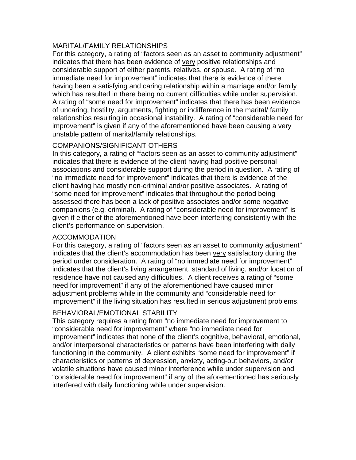### MARITAL/FAMILY RELATIONSHIPS

For this category, a rating of "factors seen as an asset to community adjustment" indicates that there has been evidence of very positive relationships and considerable support of either parents, relatives, or spouse. A rating of "no immediate need for improvement" indicates that there is evidence of there having been a satisfying and caring relationship within a marriage and/or family which has resulted in there being no current difficulties while under supervision. A rating of "some need for improvement" indicates that there has been evidence of uncaring, hostility, arguments, fighting or indifference in the marital/ family relationships resulting in occasional instability. A rating of "considerable need for improvement" is given if any of the aforementioned have been causing a very unstable pattern of marital/family relationships.

### COMPANIONS/SIGNIFICANT OTHERS

In this category, a rating of "factors seen as an asset to community adjustment" indicates that there is evidence of the client having had positive personal associations and considerable support during the period in question. A rating of "no immediate need for improvement" indicates that there is evidence of the client having had mostly non-criminal and/or positive associates. A rating of "some need for improvement" indicates that throughout the period being assessed there has been a lack of positive associates and/or some negative companions (e.g. criminal). A rating of "considerable need for improvement" is given if either of the aforementioned have been interfering consistently with the client's performance on supervision.

### ACCOMMODATION

For this category, a rating of "factors seen as an asset to community adjustment" indicates that the client's accommodation has been very satisfactory during the period under consideration. A rating of "no immediate need for improvement" indicates that the client's living arrangement, standard of living, and/or location of residence have not caused any difficulties. A client receives a rating of "some need for improvement" if any of the aforementioned have caused minor adjustment problems while in the community and "considerable need for improvement" if the living situation has resulted in serious adjustment problems.

### BEHAVIORAL/EMOTIONAL STABILITY

This category requires a rating from "no immediate need for improvement to "considerable need for improvement" where "no immediate need for improvement" indicates that none of the client's cognitive, behavioral, emotional, and/or interpersonal characteristics or patterns have been interfering with daily functioning in the community. A client exhibits "some need for improvement" if characteristics or patterns of depression, anxiety, acting-out behaviors, and/or volatile situations have caused minor interference while under supervision and "considerable need for improvement" if any of the aforementioned has seriously interfered with daily functioning while under supervision.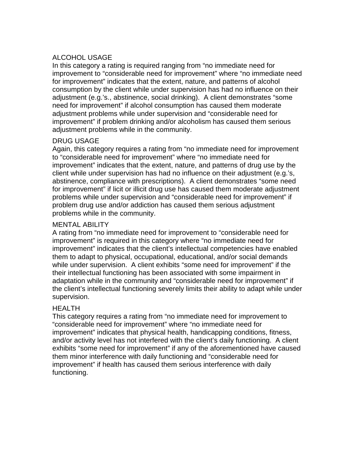### ALCOHOL USAGE

In this category a rating is required ranging from "no immediate need for improvement to "considerable need for improvement" where "no immediate need for improvement" indicates that the extent, nature, and patterns of alcohol consumption by the client while under supervision has had no influence on their adjustment (e.g.'s., abstinence, social drinking). A client demonstrates "some need for improvement" if alcohol consumption has caused them moderate adjustment problems while under supervision and "considerable need for improvement" if problem drinking and/or alcoholism has caused them serious adjustment problems while in the community.

### DRUG USAGE

Again, this category requires a rating from "no immediate need for improvement to "considerable need for improvement" where "no immediate need for improvement" indicates that the extent, nature, and patterns of drug use by the client while under supervision has had no influence on their adjustment (e.g.'s, abstinence, compliance with prescriptions). A client demonstrates "some need for improvement" if licit or illicit drug use has caused them moderate adjustment problems while under supervision and "considerable need for improvement" if problem drug use and/or addiction has caused them serious adjustment problems while in the community.

### MENTAL ABILITY

A rating from "no immediate need for improvement to "considerable need for improvement" is required in this category where "no immediate need for improvement" indicates that the client's intellectual competencies have enabled them to adapt to physical, occupational, educational, and/or social demands while under supervision. A client exhibits "some need for improvement" if the their intellectual functioning has been associated with some impairment in adaptation while in the community and "considerable need for improvement" if the client's intellectual functioning severely limits their ability to adapt while under supervision.

### HEALTH

This category requires a rating from "no immediate need for improvement to "considerable need for improvement" where "no immediate need for improvement" indicates that physical health, handicapping conditions, fitness, and/or activity level has not interfered with the client's daily functioning. A client exhibits "some need for improvement" if any of the aforementioned have caused them minor interference with daily functioning and "considerable need for improvement" if health has caused them serious interference with daily functioning.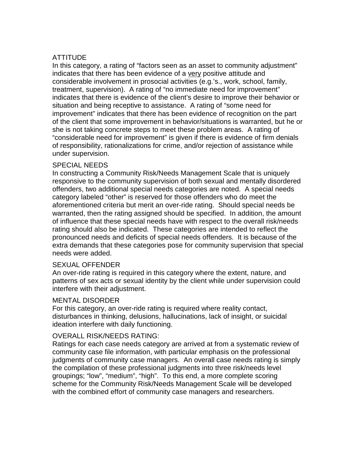### **ATTITUDE**

In this category, a rating of "factors seen as an asset to community adjustment" indicates that there has been evidence of a very positive attitude and considerable involvement in prosocial activities (e.g.'s., work, school, family, treatment, supervision). A rating of "no immediate need for improvement" indicates that there is evidence of the client's desire to improve their behavior or situation and being receptive to assistance. A rating of "some need for improvement" indicates that there has been evidence of recognition on the part of the client that some improvement in behavior/situations is warranted, but he or she is not taking concrete steps to meet these problem areas. A rating of "considerable need for improvement" is given if there is evidence of firm denials of responsibility, rationalizations for crime, and/or rejection of assistance while under supervision.

### SPECIAL NEEDS

In constructing a Community Risk/Needs Management Scale that is uniquely responsive to the community supervision of both sexual and mentally disordered offenders, two additional special needs categories are noted. A special needs category labeled "other" is reserved for those offenders who do meet the aforementioned criteria but merit an over-ride rating. Should special needs be warranted, then the rating assigned should be specified. In addition, the amount of influence that these special needs have with respect to the overall risk/needs rating should also be indicated. These categories are intended to reflect the pronounced needs and deficits of special needs offenders. It is because of the extra demands that these categories pose for community supervision that special needs were added.

### SEXUAL OFFENDER

An over-ride rating is required in this category where the extent, nature, and patterns of sex acts or sexual identity by the client while under supervision could interfere with their adjustment.

### MENTAL DISORDER

For this category, an over-ride rating is required where reality contact, disturbances in thinking, delusions, hallucinations, lack of insight, or suicidal ideation interfere with daily functioning.

### OVERALL RISK/NEEDS RATING:

Ratings for each case needs category are arrived at from a systematic review of community case file information, with particular emphasis on the professional judgments of community case managers. An overall case needs rating is simply the compilation of these professional judgments into three risk/needs level groupings; "low", "medium", "high". To this end, a more complete scoring scheme for the Community Risk/Needs Management Scale will be developed with the combined effort of community case managers and researchers.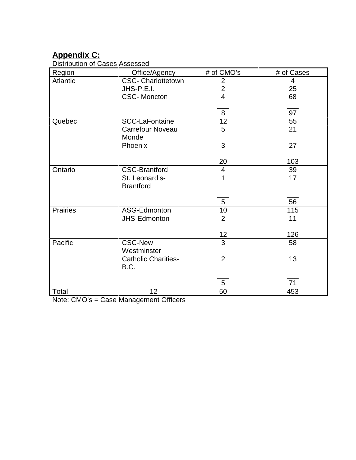## **Appendix C:**

Distribution of Cases Assessed

| Region          | Office/Agency              | # of CMO's      | # of Cases     |
|-----------------|----------------------------|-----------------|----------------|
| <b>Atlantic</b> | <b>CSC- Charlottetown</b>  | $\overline{2}$  | $\overline{4}$ |
|                 | JHS-P.E.I.                 | $\overline{2}$  | 25             |
|                 | <b>CSC-Moncton</b>         | $\overline{4}$  | 68             |
|                 |                            |                 |                |
|                 |                            | 8               | 97             |
| Quebec          | <b>SCC-LaFontaine</b>      | 12              | 55             |
|                 |                            |                 |                |
|                 | <b>Carrefour Noveau</b>    | 5               | 21             |
|                 | Monde                      |                 |                |
|                 | Phoenix                    | 3               | 27             |
|                 |                            |                 |                |
|                 |                            | 20              | 103            |
| Ontario         | <b>CSC-Brantford</b>       | $\overline{4}$  | 39             |
|                 | St. Leonard's-             | 1               | 17             |
|                 | <b>Brantford</b>           |                 |                |
|                 |                            |                 |                |
|                 |                            | $5\overline{)}$ | 56             |
|                 |                            |                 |                |
| <b>Prairies</b> | ASG-Edmonton               | 10              | 115            |
|                 | JHS-Edmonton               | $\overline{2}$  | 11             |
|                 |                            |                 |                |
|                 |                            | 12              | 126            |
| Pacific         | <b>CSC-New</b>             | 3               | 58             |
|                 | Westminster                |                 |                |
|                 | <b>Catholic Charities-</b> | $\overline{2}$  | 13             |
|                 | B.C.                       |                 |                |
|                 |                            |                 |                |
|                 |                            |                 |                |
|                 |                            | 5               | 71             |
| Total           | 12                         | 50              | 453            |

Note: CMO's = Case Management Officers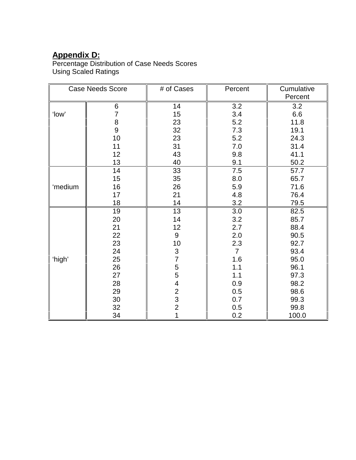## **Appendix D:**

Percentage Distribution of Case Needs Scores Using Scaled Ratings

| <b>Case Needs Score</b> |                | # of Cases                                 | Percent        | Cumulative |
|-------------------------|----------------|--------------------------------------------|----------------|------------|
|                         |                |                                            |                | Percent    |
|                         | 6              | 14                                         | 3.2            | 3.2        |
| 'low'                   | $\overline{7}$ | 15                                         | 3.4            | 6.6        |
|                         | 8              | 23                                         | 5.2            | 11.8       |
|                         | 9              | 32                                         | 7.3            | 19.1       |
|                         | 10             | 23                                         | 5.2            | 24.3       |
|                         | 11             | 31                                         | 7.0            | 31.4       |
|                         | 12             | 43                                         | 9.8            | 41.1       |
|                         | 13             | 40                                         | 9.1            | 50.2       |
|                         | 14             | 33                                         | 7.5            | 57.7       |
|                         | 15             | 35                                         | 8.0            | 65.7       |
| 'medium                 | 16             | 26                                         | 5.9            | 71.6       |
|                         | 17             | 21                                         | 4.8            | 76.4       |
|                         | 18             | 14                                         | 3.2            | 79.5       |
|                         | 19             | 13                                         | 3.0            | 82.5       |
|                         | 20             | 14                                         | 3.2            | 85.7       |
|                         | 21             | 12                                         | 2.7            | 88.4       |
|                         | 22             | 9                                          | 2.0            | 90.5       |
|                         | 23             | 10                                         | 2.3            | 92.7       |
|                         | 24             | 3                                          | $\overline{7}$ | 93.4       |
| 'high'                  | 25             | $\overline{7}$                             | 1.6            | 95.0       |
|                         | 26             | 5<br>5<br>4                                | 1.1            | 96.1       |
|                         | 27             |                                            | 1.1            | 97.3       |
|                         | 28             |                                            | 0.9            | 98.2       |
|                         | 29             |                                            | 0.5            | 98.6       |
|                         | 30             | $\begin{array}{c} 2 \\ 3 \\ 2 \end{array}$ | 0.7            | 99.3       |
|                         | 32             |                                            | 0.5            | 99.8       |
|                         | 34             |                                            | 0.2            | 100.0      |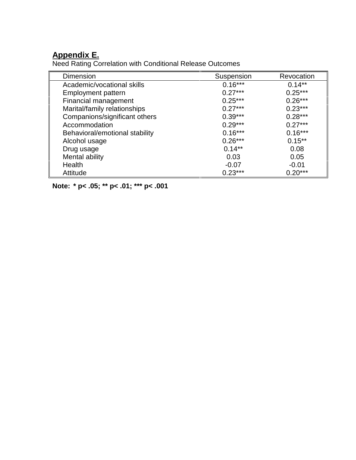## **Appendix E.**

Need Rating Correlation with Conditional Release Outcomes

| <b>Dimension</b>               | Suspension | Revocation |  |
|--------------------------------|------------|------------|--|
| Academic/vocational skills     | $0.16***$  | $0.14***$  |  |
| Employment pattern             | $0.27***$  | $0.25***$  |  |
| Financial management           | $0.25***$  | $0.26***$  |  |
| Marital/family relationships   | $0.27***$  | $0.23***$  |  |
| Companions/significant others  | $0.39***$  | $0.28***$  |  |
| Accommodation                  | $0.29***$  | $0.27***$  |  |
| Behavioral/emotional stability | $0.16***$  | $0.16***$  |  |
| Alcohol usage                  | $0.26***$  | $0.15***$  |  |
| Drug usage                     | $0.14***$  | 0.08       |  |
| Mental ability                 | 0.03       | 0.05       |  |
| Health                         | $-0.07$    | $-0.01$    |  |
| Attitude                       | $0.23***$  | $0.20***$  |  |

**Note: \* p< .05; \*\* p< .01; \*\*\* p< .001**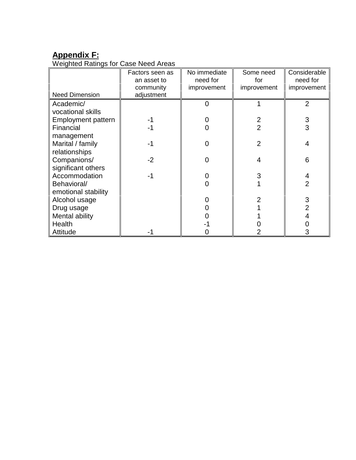# **Appendix F:**

Weighted Ratings for Case Need Areas

|                           | Factors seen as | No immediate | Some need      | Considerable   |
|---------------------------|-----------------|--------------|----------------|----------------|
|                           | an asset to     | need for     | for            | need for       |
|                           | community       | improvement  | improvement    | improvement    |
| <b>Need Dimension</b>     | adjustment      |              |                |                |
| Academic/                 |                 |              |                | $\overline{2}$ |
| vocational skills         |                 |              |                |                |
| <b>Employment pattern</b> |                 |              | 2              | 3              |
| Financial                 |                 |              | $\overline{2}$ | 3              |
| management                |                 |              |                |                |
| Marital / family          |                 |              | 2              |                |
| relationships             |                 |              |                |                |
| Companions/               | $-2$            |              |                | 6              |
| significant others        |                 |              |                |                |
| Accommodation             |                 |              |                |                |
| Behavioral/               |                 |              |                | $\overline{2}$ |
| emotional stability       |                 |              |                |                |
| Alcohol usage             |                 |              |                | 3              |
| Drug usage                |                 |              |                |                |
| Mental ability            |                 |              |                |                |
| Health                    |                 |              |                |                |
| Attitude                  |                 |              |                |                |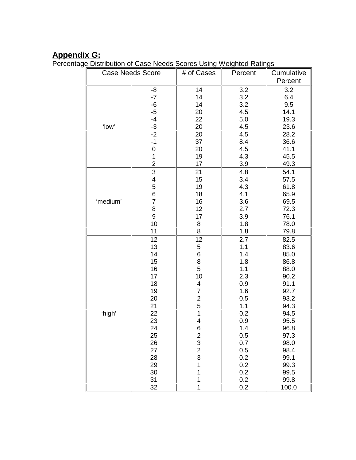## **Appendix G:**

Percentage Distribution of Case Needs Scores Using Weighted Ratings

| <b>Case Needs Score</b> |                     | # of Cases              | Percent    | Cumulative   |
|-------------------------|---------------------|-------------------------|------------|--------------|
|                         |                     |                         |            | Percent      |
|                         | -8                  | 14                      | 3.2        | 3.2          |
|                         | $-7$                | 14                      | 3.2        | 6.4          |
|                         | $-6$                | 14                      | 3.2        | 9.5          |
|                         | $-5$                | 20                      | 4.5        | 14.1         |
|                         | $-4$                | 22                      | 5.0        | 19.3         |
| 'low'                   | $-3$                | 20                      | 4.5        | 23.6         |
|                         | $-2$                | 20                      | 4.5        | 28.2         |
|                         | $-1$                | 37                      | 8.4        | 36.6         |
|                         | $\boldsymbol{0}$    | 20                      | 4.5        | 41.1         |
|                         | $\mathbf 1$         | 19                      | 4.3        | 45.5         |
|                         | $\overline{c}$      | 17                      | 3.9        | 49.3         |
|                         | $\overline{3}$      | 21                      | 4.8        | 54.1         |
|                         | 4                   | 15                      | 3.4        | 57.5         |
|                         | 5                   | 19                      | 4.3        | 61.8         |
|                         | 6<br>$\overline{7}$ | 18                      | 4.1        | 65.9         |
| 'medium'                |                     | 16<br>12                | 3.6<br>2.7 | 69.5         |
|                         | 8<br>9              | 17                      | 3.9        | 72.3<br>76.1 |
|                         | 10                  | 8                       | 1.8        | 78.0         |
|                         | 11                  | 8                       | 1.8        | 79.8         |
|                         | 12                  | 12                      | 2.7        | 82.5         |
|                         | 13                  | 5                       | 1.1        | 83.6         |
|                         | 14                  | $\,6$                   | 1.4        | 85.0         |
|                         | 15                  | 8                       | 1.8        | 86.8         |
|                         | 16                  | 5                       | 1.1        | 88.0         |
|                         | 17                  | 10                      | 2.3        | 90.2         |
|                         | 18                  | 4                       | 0.9        | 91.1         |
| 'high'                  | 19                  | $\overline{7}$          | 1.6        | 92.7         |
|                         | 20                  | $\overline{\mathbf{c}}$ | 0.5        | 93.2         |
|                         | 21                  | 5                       | 1.1        | 94.3         |
|                         | 22                  | 1                       | 0.2        | 94.5         |
|                         | 23                  | 4                       | 0.9        | 95.5         |
|                         | 24                  | 6                       | 1.4        | 96.8         |
|                         | 25                  | $\frac{2}{3}$           | 0.5        | 97.3         |
|                         | 26                  |                         | 0.7        | 98.0         |
|                         | 27                  | $\frac{2}{3}$           | 0.5        | 98.4         |
|                         | 28                  |                         | 0.2        | 99.1         |
|                         | 29                  | 1                       | 0.2        | 99.3         |
|                         | 30                  | 1                       | 0.2        | 99.5         |
|                         | 31                  | 1                       | 0.2        | 99.8         |
|                         | 32                  | 1                       | 0.2        | 100.0        |